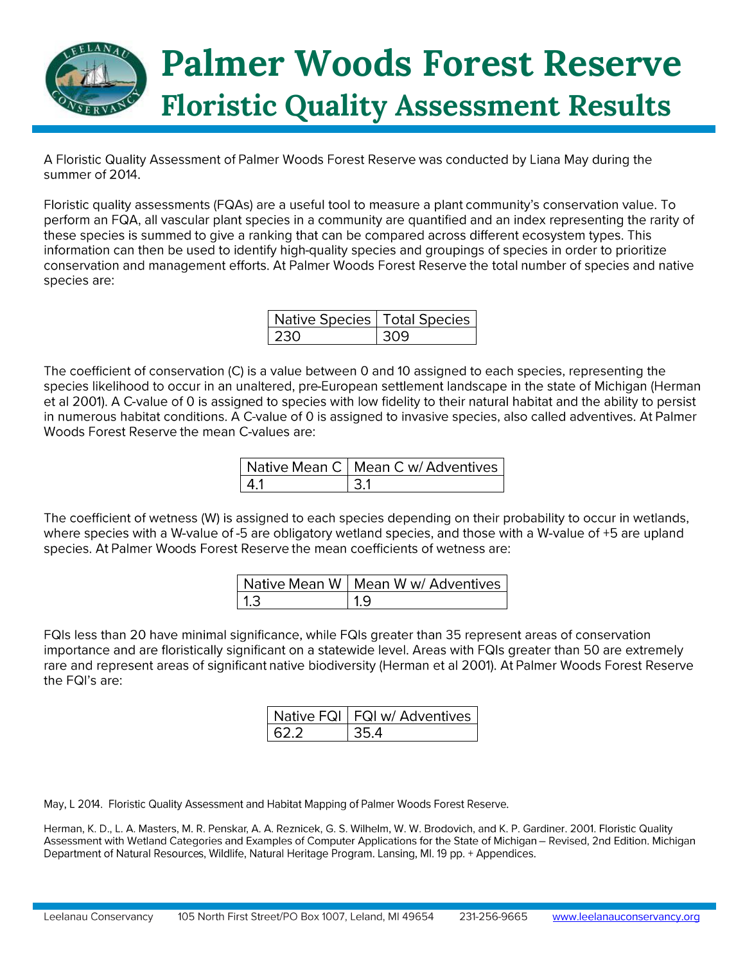

A Floristic Quality Assessment of Palmer Woods Forest Reserve was conducted by Liana May during the summer of 2014.

Floristic quality assessments (FQAs) are a useful tool to measure a plant community's conservation value. To perform an FQA, all vascular plant species in a community are quantified and an index representing the rarity of these species is summed to give a ranking that can be compared across different ecosystem types. This information can then be used to identify high-quality species and groupings of species in order to prioritize conservation and management efforts. At Palmer Woods Forest Reserve the total number of species and native species are:

| Native Species   Total Species |   |
|--------------------------------|---|
| l 230                          | ೂ |

The coefficient of conservation (C) is a value between 0 and 10 assigned to each species, representing the species likelihood to occur in an unaltered, pre-European settlement landscape in the state of Michigan (Herman et al 2001). A C-value of 0 is assigned to species with low fidelity to their natural habitat and the ability to persist in numerous habitat conditions. A C-value of 0 is assigned to invasive species, also called adventives. At Palmer Woods Forest Reserve the mean C-values are:

|     | Native Mean C   Mean C w/ Adventives |
|-----|--------------------------------------|
| -41 |                                      |

The coefficient of wetness (W) is assigned to each species depending on their probability to occur in wetlands, where species with a W-value of -5 are obligatory wetland species, and those with a W-value of +5 are upland species. At Palmer Woods Forest Reserve the mean coefficients of wetness are:

|     | Native Mean W   Mean W w/ Adventives |
|-----|--------------------------------------|
| 1.3 | $\vert$ 1.9                          |

FQIs less than 20 have minimal significance, while FQIs greater than 35 represent areas of conservation importance and are floristically significant on a statewide level. Areas with FQIs greater than 50 are extremely rare and represent areas of significant native biodiversity (Herman et al 2001). At Palmer Woods Forest Reserve the FQI's are:

|        | Native FQI   FQI w/ Adventives |
|--------|--------------------------------|
| I 62.2 |                                |

May, L 2014. Floristic Quality Assessment and Habitat Mapping of Palmer Woods Forest Reserve.

Herman, K. D., L. A. Masters, M. R. Penskar, A. A. Reznicek, G. S. Wilhelm, W. W. Brodovich, and K. P. Gardiner. 2001. Floristic Quality Assessment with Wetland Categories and Examples of Computer Applications for the State of Michigan - Revised, 2nd Edition. Michigan Department of Natural Resources, Wildlife, Natural Heritage Program. Lansing, MI. 19 pp. + Appendices.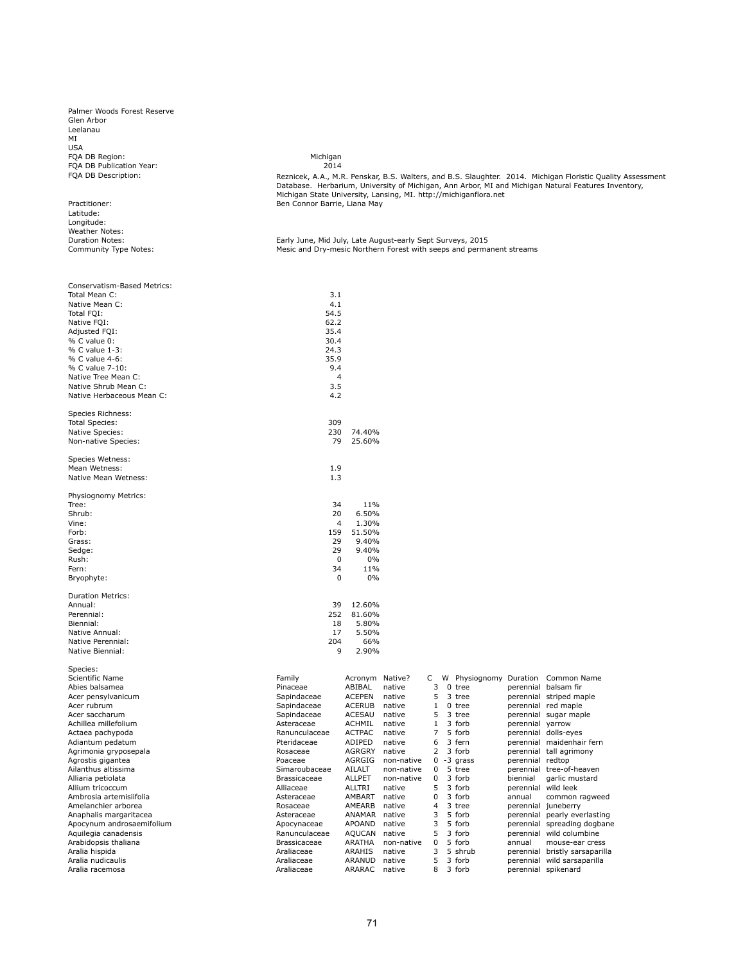Palmer Woods Forest Reserve Glen Arbor Leelanau MI USA FQA DB Region: Michigan FQA DB Publication Year: 2014 FQA DB Description:

Practitioner: Latitude: Longitude: Weather Notes: Duration Notes: Community Type Notes:

Reznicek, A.A., M.R. Penskar, B.S. Walters, and B.S. Slaughter. 2014. Michigan Floristic Quality Assessment<br>Database. Herbarium, University of Michigan, Ann Arbor, MI and Michigan Natural Features Inventory,<br>Michigan St Ben Connor Barrie, Liana May

Early June, Mid July, Late August-early Sept Surveys, 2015 Mesic and Dry-mesic Northern Forest with seeps and permanent streams

| Conservatism-Based Metrics:<br>Total Mean C: | 3.1<br>4.1                 |                         |                  |                |                        |                  |                                              |
|----------------------------------------------|----------------------------|-------------------------|------------------|----------------|------------------------|------------------|----------------------------------------------|
| Native Mean C:                               | 54.5                       |                         |                  |                |                        |                  |                                              |
| Total FQI:                                   |                            |                         |                  |                |                        |                  |                                              |
| Native FQI:<br>Adjusted FQI:                 | 62.2<br>35.4               |                         |                  |                |                        |                  |                                              |
| % C value 0:                                 | 30.4                       |                         |                  |                |                        |                  |                                              |
| % C value 1-3:                               | 24.3                       |                         |                  |                |                        |                  |                                              |
| % C value 4-6:                               | 35.9                       |                         |                  |                |                        |                  |                                              |
| % C value 7-10:                              | 9.4                        |                         |                  |                |                        |                  |                                              |
| Native Tree Mean C:                          | $\overline{4}$             |                         |                  |                |                        |                  |                                              |
| Native Shrub Mean C:                         | 3.5                        |                         |                  |                |                        |                  |                                              |
| Native Herbaceous Mean C:                    | 4.2                        |                         |                  |                |                        |                  |                                              |
| Species Richness:                            | 309                        |                         |                  |                |                        |                  |                                              |
| <b>Total Species:</b>                        |                            |                         |                  |                |                        |                  |                                              |
| Native Species:<br>Non-native Species:       | 230<br>79                  | 74.40%<br>25.60%        |                  |                |                        |                  |                                              |
|                                              |                            |                         |                  |                |                        |                  |                                              |
| Species Wetness:                             |                            |                         |                  |                |                        |                  |                                              |
| Mean Wetness:                                | 1.9                        |                         |                  |                |                        |                  |                                              |
| Native Mean Wetness:                         | 1.3                        |                         |                  |                |                        |                  |                                              |
| Physiognomy Metrics:                         |                            |                         |                  |                |                        |                  |                                              |
| Tree:                                        | 34                         | 11%                     |                  |                |                        |                  |                                              |
| Shrub:                                       | 20                         | 6.50%                   |                  |                |                        |                  |                                              |
| Vine:                                        | $\overline{4}$             | 1.30%                   |                  |                |                        |                  |                                              |
| Forb:                                        | 159                        | 51.50%                  |                  |                |                        |                  |                                              |
| Grass:                                       | 29                         | 9.40%                   |                  |                |                        |                  |                                              |
| Sedge:                                       | 29                         | 9.40%                   |                  |                |                        |                  |                                              |
| Rush:                                        | $\mathbf 0$                | 0%                      |                  |                |                        |                  |                                              |
| Fern:                                        | 34                         | 11%                     |                  |                |                        |                  |                                              |
| Bryophyte:                                   | $\mathbf 0$                | 0%                      |                  |                |                        |                  |                                              |
| <b>Duration Metrics:</b>                     |                            |                         |                  |                |                        |                  |                                              |
| Annual:                                      | 39                         | 12.60%                  |                  |                |                        |                  |                                              |
| Perennial:                                   | 252                        | 81.60%                  |                  |                |                        |                  |                                              |
| Biennial:                                    | 18                         | 5.80%                   |                  |                |                        |                  |                                              |
| Native Annual:                               | 17                         | 5.50%                   |                  |                |                        |                  |                                              |
| Native Perennial:                            | 204                        | 66%                     |                  |                |                        |                  |                                              |
| Native Biennial:                             | 9                          | 2.90%                   |                  |                |                        |                  |                                              |
| Species:                                     |                            |                         |                  |                |                        |                  |                                              |
| Scientific Name                              | Family                     | Acronym Native?         |                  | C<br>3         | W Physiognomy Duration |                  | Common Name                                  |
| Abies balsamea                               | Pinaceae                   | ABIBAL<br><b>ACEPEN</b> | native           | 5              | $0$ tree<br>3 tree     |                  | perennial balsam fir                         |
| Acer pensylvanicum<br>Acer rubrum            | Sapindaceae                | <b>ACERUB</b>           | native<br>native | $\mathbf{1}$   | 0 tree                 |                  | perennial striped maple                      |
| Acer saccharum                               | Sapindaceae<br>Sapindaceae | ACESAU                  | native           | 5              | 3 tree                 |                  | perennial red maple<br>perennial sugar maple |
| Achillea millefolium                         | Asteraceae                 | ACHMIL                  | native           | $\mathbf{1}$   | 3 forb                 | perennial yarrow |                                              |
| Actaea pachypoda                             | Ranunculaceae              | <b>ACTPAC</b>           | native           | $\overline{7}$ | 5 forb                 |                  | perennial dolls-eyes                         |
| Adiantum pedatum                             | Pteridaceae                | ADIPED                  | native           | 6              | 3 fern                 |                  | perennial maidenhair fern                    |
| Agrimonia gryposepala                        | Rosaceae                   | AGRGRY                  | native           | $\overline{2}$ | 3 forb                 |                  | perennial tall agrimony                      |
| Agrostis gigantea                            | Poaceae                    | AGRGIG                  | non-native       | $\mathbf{0}$   | -3 grass               | perennial redtop |                                              |
| Ailanthus altissima                          | Simaroubaceae              | AILALT                  | non-native       | 0              | 5 tree                 |                  | perennial tree-of-heaven                     |
| Alliaria petiolata                           | <b>Brassicaceae</b>        | <b>ALLPET</b>           | non-native       | $\Omega$       | 3 forb                 | biennial         | garlic mustard                               |
| Allium tricoccum                             | Alliaceae                  | ALLTRI                  | native           | 5              | 3 forb                 |                  | perennial wild leek                          |
| Ambrosia artemisiifolia                      | Asteraceae                 | AMBART                  | native           | 0              | 3 forb                 | annual           | common ragweed                               |
| Amelanchier arborea                          | Rosaceae                   | AMEARB                  | native           | 4              | 3 tree                 |                  | perennial juneberry                          |
| Anaphalis margaritacea                       | Asteraceae                 | ANAMAR native           |                  | 3              | 5 forb                 |                  | perennial pearly everlasting                 |
| Apocynum androsaemifolium                    | Apocynaceae                | APOAND                  | native           | 3              | 5 forb                 |                  | perennial spreading dogbane                  |
| Aquilegia canadensis                         | Ranunculaceae              | <b>AQUCAN</b>           | native           | 5              | 3 forb                 | perennial        | wild columbine                               |
| Arabidopsis thaliana                         | <b>Brassicaceae</b>        | ARATHA                  | non-native       | $\Omega$       | 5 forb                 | annual           | mouse-ear cress                              |
| Aralia hispida                               | Araliaceae                 | ARAHIS                  | native           | 3              | 5 shrub                |                  | perennial bristly sarsaparilla               |
| Aralia nudicaulis                            | Araliaceae                 | ARANUD native           |                  | 5              | 3 forb                 |                  | perennial wild sarsaparilla                  |
| Aralia racemosa                              | Araliaceae                 | ARARAC                  | native           | 8              | 3 forb                 |                  | perennial spikenard                          |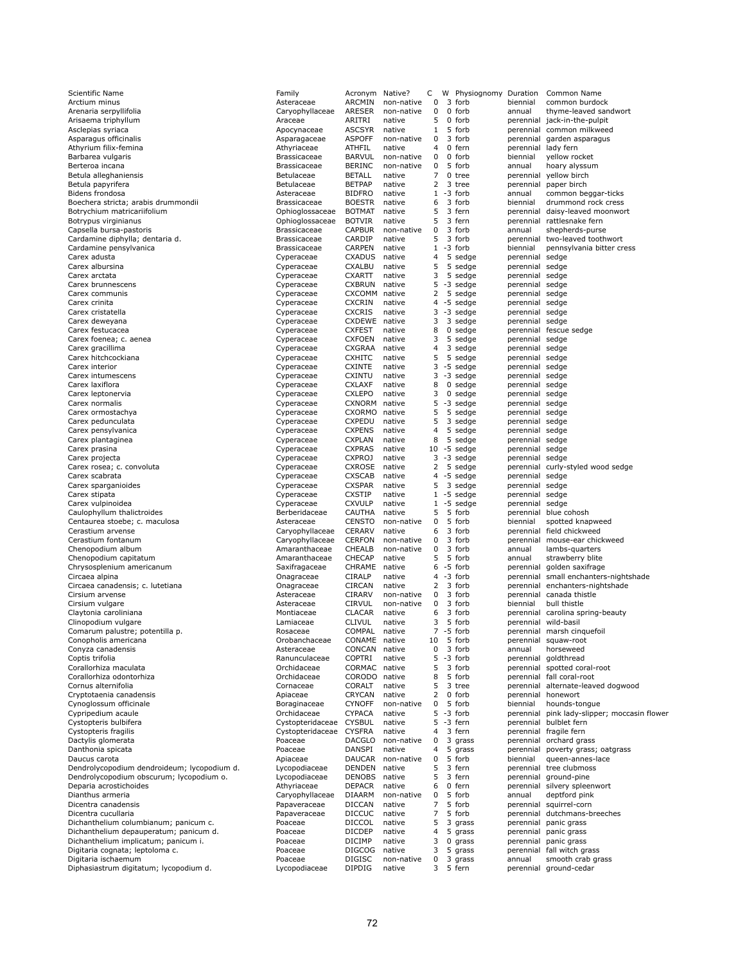| Scientific Name                                                                         | Family                                 | Acronym                        | Native?          | С                   | w | Physiognomy                    | Duration                           | Common Name                                        |
|-----------------------------------------------------------------------------------------|----------------------------------------|--------------------------------|------------------|---------------------|---|--------------------------------|------------------------------------|----------------------------------------------------|
| Arctium minus                                                                           | Asteraceae                             | ARCMIN                         | non-native       | 0                   |   | 3 forb                         | biennial                           | common burdock                                     |
| Arenaria serpyllifolia                                                                  | Caryophyllaceae                        | ARESER                         | non-native       | 0<br>5              |   | 0 forb                         | annual                             | thyme-leaved sandwort                              |
| Arisaema triphyllum<br>Asclepias syriaca                                                | Araceae<br>Apocynaceae                 | ARITRI<br><b>ASCSYR</b>        | native<br>native | $\mathbf{1}$        |   | 0 forb<br>5 forb               | perennial<br>perennial             | jack-in-the-pulpit<br>common milkweed              |
| Asparagus officinalis                                                                   | Asparagaceae                           | <b>ASPOFF</b>                  | non-native       | 0                   |   | 3 forb                         | perennial                          | garden asparagus                                   |
| Athyrium filix-femina                                                                   | Athyriaceae                            | ATHFIL                         | native           | 4                   |   | 0 fern                         | perennial                          | lady fern                                          |
| Barbarea vulgaris                                                                       | Brassicaceae                           | <b>BARVUL</b>                  | non-native       | 0                   |   | 0 forb                         | biennial                           | yellow rocket                                      |
| Berteroa incana                                                                         | <b>Brassicaceae</b>                    | <b>BERINC</b>                  | non-native       | $\mathbf 0$         |   | 5 forb                         | annual                             | hoary alyssum                                      |
| Betula alleghaniensis                                                                   | Betulaceae                             | <b>BETALL</b>                  | native           | 7                   |   | 0 tree                         | perennial                          | yellow birch                                       |
| Betula papyrifera                                                                       | Betulaceae                             | <b>BETPAP</b>                  | native           | 2                   |   | 3 tree                         | perennial                          | paper birch                                        |
| Bidens frondosa                                                                         | Asteraceae                             | <b>BIDFRO</b>                  | native           | $\mathbf{1}$        |   | -3 forb                        | annual                             | common beggar-ticks                                |
| Boechera stricta; arabis drummondii                                                     | <b>Brassicaceae</b>                    | <b>BOESTR</b>                  | native           | 6                   |   | 3 forb<br>3 fern               | biennial                           | drummond rock cress                                |
| Botrychium matricariifolium                                                             | Ophioglossaceae                        | <b>BOTMAT</b><br><b>BOTVIR</b> | native<br>native | 5<br>5              |   | 3 fern                         | perennial                          | daisy-leaved moonwort                              |
| Botrypus virginianus<br>Capsella bursa-pastoris                                         | Ophioglossaceae<br><b>Brassicaceae</b> | <b>CAPBUR</b>                  | non-native       | 0                   |   | 3 forb                         | perennial<br>annual                | rattlesnake fern<br>shepherds-purse                |
| Cardamine diphylla; dentaria d.                                                         | <b>Brassicaceae</b>                    | CARDIP                         | native           | 5                   |   | 3 forb                         | perennial                          | two-leaved toothwort                               |
| Cardamine pensylvanica                                                                  | <b>Brassicaceae</b>                    | CARPEN                         | native           |                     |   | $1 - 3$ forb                   | biennial                           | pennsylvania bitter cress                          |
| Carex adusta                                                                            | Cyperaceae                             | <b>CXADUS</b>                  | native           | 4                   |   | 5 sedge                        | perennial                          | sedge                                              |
| Carex albursina                                                                         | Cyperaceae                             | <b>CXALBU</b>                  | native           | 5                   |   | 5 sedge                        | perennial sedge                    |                                                    |
| Carex arctata                                                                           | Cyperaceae                             | <b>CXARTT</b>                  | native           | 3                   |   | 5 sedge                        | perennial sedge                    |                                                    |
| Carex brunnescens                                                                       | Cyperaceae                             | <b>CXBRUN</b>                  | native           | 5                   |   | -3 sedge                       | perennial sedge                    |                                                    |
| Carex communis                                                                          | Cyperaceae                             | CXCOMM                         | native           | 2                   |   | 5 sedge                        | perennial sedge                    |                                                    |
| Carex crinita                                                                           | Cyperaceae                             | <b>CXCRIN</b>                  | native           | 4                   |   | -5 sedge                       | perennial sedge                    |                                                    |
| Carex cristatella                                                                       | Cyperaceae                             | <b>CXCRIS</b>                  | native           | 3                   |   | -3 sedge                       | perennial sedge                    |                                                    |
| Carex deweyana                                                                          | Cyperaceae                             | CXDEWE native                  |                  | 3                   |   | 3 sedge                        | perennial sedge                    |                                                    |
| Carex festucacea                                                                        | Cyperaceae                             | <b>CXFEST</b>                  | native           | 8                   |   | $0$ sedge                      |                                    | perennial fescue sedge                             |
| Carex foenea; c. aenea                                                                  | Cyperaceae                             | <b>CXFOEN</b>                  | native           | 3<br>$\overline{4}$ |   | 5 sedge                        | perennial sedge                    |                                                    |
| Carex gracillima<br>Carex hitchcockiana                                                 | Cyperaceae                             | CXGRAA<br><b>CXHITC</b>        | native<br>native | 5                   | 5 | 3 sedge                        | perennial sedge<br>perennial sedge |                                                    |
| Carex interior                                                                          | Cyperaceae<br>Cyperaceae               | <b>CXINTE</b>                  | native           | 3                   |   | sedge<br>-5 sedge              | perennial sedge                    |                                                    |
| Carex intumescens                                                                       | Cyperaceae                             | CXINTU                         | native           | 3                   |   | -3 sedge                       | perennial sedge                    |                                                    |
| Carex laxiflora                                                                         | Cyperaceae                             | <b>CXLAXF</b>                  | native           | 8                   |   | $0$ sedge                      | perennial sedge                    |                                                    |
| Carex leptonervia                                                                       | Cyperaceae                             | <b>CXLEPO</b>                  | native           | 3                   |   | 0 sedge                        | perennial sedge                    |                                                    |
| Carex normalis                                                                          | Cyperaceae                             | CXNORM                         | native           | 5                   |   | -3 sedge                       | perennial sedge                    |                                                    |
| Carex ormostachya                                                                       | Cyperaceae                             | CXORMO                         | native           | 5                   |   | 5 sedge                        | perennial sedge                    |                                                    |
| Carex pedunculata                                                                       | Cyperaceae                             | CXPEDU                         | native           | 5                   |   | 3 sedge                        | perennial sedge                    |                                                    |
| Carex pensylvanica                                                                      | Cyperaceae                             | <b>CXPENS</b>                  | native           | 4                   |   | 5 sedge                        | perennial sedge                    |                                                    |
| Carex plantaginea                                                                       | Cyperaceae                             | <b>CXPLAN</b>                  | native           | 8                   |   | 5 sedge                        | perennial sedge                    |                                                    |
| Carex prasina                                                                           | Cyperaceae                             | <b>CXPRAS</b>                  | native           |                     |   | $10 - 5$ sedge                 | perennial sedge                    |                                                    |
| Carex projecta                                                                          | Cyperaceae                             | <b>CXPROJ</b>                  | native           | 3                   |   | -3 sedge                       | perennial sedge                    |                                                    |
| Carex rosea; c. convoluta                                                               | Cyperaceae                             | CXROSE                         | native           | 2                   |   | 5 sedge                        | perennial                          | curly-styled wood sedge                            |
| Carex scabrata                                                                          | Cyperaceae                             | <b>CXSCAB</b>                  | native           | 4                   |   | -5 sedge                       | perennial                          | sedge                                              |
| Carex sparganioides                                                                     | Cyperaceae                             | <b>CXSPAR</b>                  | native           | 5                   |   | 3 sedge                        | perennial                          | sedge                                              |
| Carex stipata                                                                           | Cyperaceae                             | <b>CXSTIP</b><br><b>CXVULP</b> | native<br>native |                     |   | $1 - 5$ sedge<br>$1 - 5$ sedge | perennial                          | sedge                                              |
| Carex vulpinoidea<br>Caulophyllum thalictroides                                         | Cyperaceae<br>Berberidaceae            | <b>CAUTHA</b>                  | native           | 5                   |   | 5 forb                         | perennial<br>perennial             | sedge<br>blue cohosh                               |
| Centaurea stoebe; c. maculosa                                                           | Asteraceae                             | <b>CENSTO</b>                  | non-native       | 0                   |   | 5 forb                         | biennial                           | spotted knapweed                                   |
| Cerastium arvense                                                                       | Caryophyllaceae                        | CERARV                         | native           | 6                   |   | 3 forb                         |                                    | perennial field chickweed                          |
| Cerastium fontanum                                                                      | Caryophyllaceae                        | <b>CERFON</b>                  | non-native       | 0                   |   | 3 forb                         | perennial                          | mouse-ear chickweed                                |
| Chenopodium album                                                                       | Amaranthaceae                          | CHEALB                         | non-native       | 0                   |   | 3 forb                         | annual                             | lambs-quarters                                     |
| Chenopodium capitatum                                                                   | Amaranthaceae                          | CHECAP                         | native           | 5                   |   | 5 forb                         | annual                             | strawberry blite                                   |
| Chrysosplenium americanum                                                               | Saxifragaceae                          | CHRAME                         | native           |                     |   | $6 - 5$ forb                   | perennial                          | golden saxifrage                                   |
| Circaea alpina                                                                          | Onagraceae                             | CIRALP                         | native           |                     |   | $4 - 3$ forb                   | perennial                          | small enchanters-nightshade                        |
| Circaea canadensis; c. lutetiana                                                        | Onagraceae                             | CIRCAN                         | native           | 2                   |   | 3 forb                         | perennial                          | enchanters-nightshade                              |
| Cirsium arvense                                                                         | Asteraceae                             | CIRARV                         | non-native       | 0                   |   | 3 forb                         |                                    | perennial canada thistle                           |
| Cirsium vulgare                                                                         | Asteraceae                             | <b>CIRVUL</b>                  | non-native       | 0                   |   | 3 forb                         | biennial                           | bull thistle                                       |
| Claytonia caroliniana                                                                   | Montiaceae                             | <b>CLACAR</b>                  | native           | 6                   |   | 3 forb                         | perennial                          | carolina spring-beauty                             |
| Clinopodium vulgare                                                                     | Lamiaceae                              | <b>CLIVUL</b>                  | native           | 3                   |   | 5 forb                         |                                    | perennial wild-basil                               |
| Comarum palustre; potentilla p.<br>Conopholis americana                                 | Rosaceae<br>Orobanchaceae              | COMPAL<br>CONAME native        | native           | 10                  |   | $7 - 5$ forb<br>5 forb         |                                    | perennial marsh cinquefoil<br>perennial squaw-root |
| Conyza canadensis                                                                       | Asteraceae                             | CONCAN                         | native           | 0                   |   | 3 forb                         | annual                             | horseweed                                          |
| Coptis trifolia                                                                         | Ranunculaceae                          | <b>COPTRI</b>                  | native           | 5                   |   | -3 forb                        |                                    | perennial goldthread                               |
| Corallorhiza maculata                                                                   | Orchidaceae                            | CORMAC native                  |                  | 5                   |   | 3 forb                         |                                    | perennial spotted coral-root                       |
| Corallorhiza odontorhiza                                                                | Orchidaceae                            | CORODO native                  |                  | 8                   |   | 5 forb                         |                                    | perennial fall coral-root                          |
| Cornus alternifolia                                                                     | Cornaceae                              | CORALT                         | native           | 5                   |   | 3 tree                         |                                    | perennial alternate-leaved dogwood                 |
| Cryptotaenia canadensis                                                                 | Apiaceae                               | CRYCAN                         | native           | 2                   |   | 0 forb                         |                                    | perennial honewort                                 |
| Cynoglossum officinale                                                                  | Boraginaceae                           | <b>CYNOFF</b>                  | non-native       | 0                   |   | 5 forb                         | biennial                           | hounds-tongue                                      |
| Cypripedium acaule                                                                      | Orchidaceae                            | <b>CYPACA</b>                  | native           | 5                   |   | -3 forb                        | perennial                          | pink lady-slipper; moccasin flower                 |
| Cystopteris bulbifera                                                                   | Cystopteridaceae                       | <b>CYSBUL</b>                  | native           | 5                   |   | -3 fern                        |                                    | perennial bulblet fern                             |
| Cystopteris fragilis                                                                    | Cystopteridaceae                       | <b>CYSFRA</b>                  | native           | 4                   |   | 3 fern                         |                                    | perennial fragile fern                             |
| Dactylis glomerata                                                                      | Poaceae                                | DACGLO                         | non-native       | 0                   |   | 3 grass                        |                                    | perennial orchard grass                            |
| Danthonia spicata                                                                       | Poaceae                                | DANSPI                         | native           | $\overline{4}$      |   | 5 grass                        | perennial                          | poverty grass; oatgrass                            |
| Daucus carota                                                                           | Apiaceae                               | DAUCAR                         | non-native       | 0                   |   | 5 forb                         | biennial                           | queen-annes-lace                                   |
| Dendrolycopodium dendroideum; lycopodium d.<br>Dendrolycopodium obscurum; lycopodium o. | Lycopodiaceae                          | DENDEN<br>DENOBS               | native           | 5<br>5              |   | 3 fern<br>3 fern               |                                    | perennial tree clubmoss                            |
| Deparia acrostichoides                                                                  | Lycopodiaceae<br>Athyriaceae           | DEPACR                         | native<br>native | 6                   |   | 0 fern                         | perennial                          | ground-pine<br>perennial silvery spleenwort        |
| Dianthus armeria                                                                        | Caryophyllaceae                        | DIAARM                         | non-native       | 0                   |   | 5 forb                         | annual                             | deptford pink                                      |
| Dicentra canadensis                                                                     | Papaveraceae                           | <b>DICCAN</b>                  | native           | 7                   |   | 5 forb                         |                                    | perennial squirrel-corn                            |
| Dicentra cucullaria                                                                     | Papaveraceae                           | <b>DICCUC</b>                  | native           | 7                   |   | 5 forb                         | perennial                          | dutchmans-breeches                                 |
| Dichanthelium columbianum; panicum c.                                                   | Poaceae                                | <b>DICCOL</b>                  | native           | 5                   |   | 3 grass                        | perennial                          | panic grass                                        |
| Dichanthelium depauperatum; panicum d.                                                  | Poaceae                                | <b>DICDEP</b>                  | native           | 4                   |   | 5 grass                        | perennial                          | panic grass                                        |
| Dichanthelium implicatum; panicum i.                                                    | Poaceae                                | <b>DICIMP</b>                  | native           | 3                   |   | $0$ grass                      | perennial                          | panic grass                                        |
| Digitaria cognata; leptoloma c.                                                         | Poaceae                                | DIGCOG                         | native           | 3                   |   | 5 grass                        | perennial                          | fall witch grass                                   |
| Digitaria ischaemum                                                                     | Poaceae                                | DIGISC                         | non-native       | 0                   |   | 3 grass                        | annual                             | smooth crab grass                                  |
| Diphasiastrum digitatum; lycopodium d.                                                  | Lycopodiaceae                          | <b>DIPDIG</b>                  | native           | 3                   |   | 5 fern                         |                                    | perennial ground-cedar                             |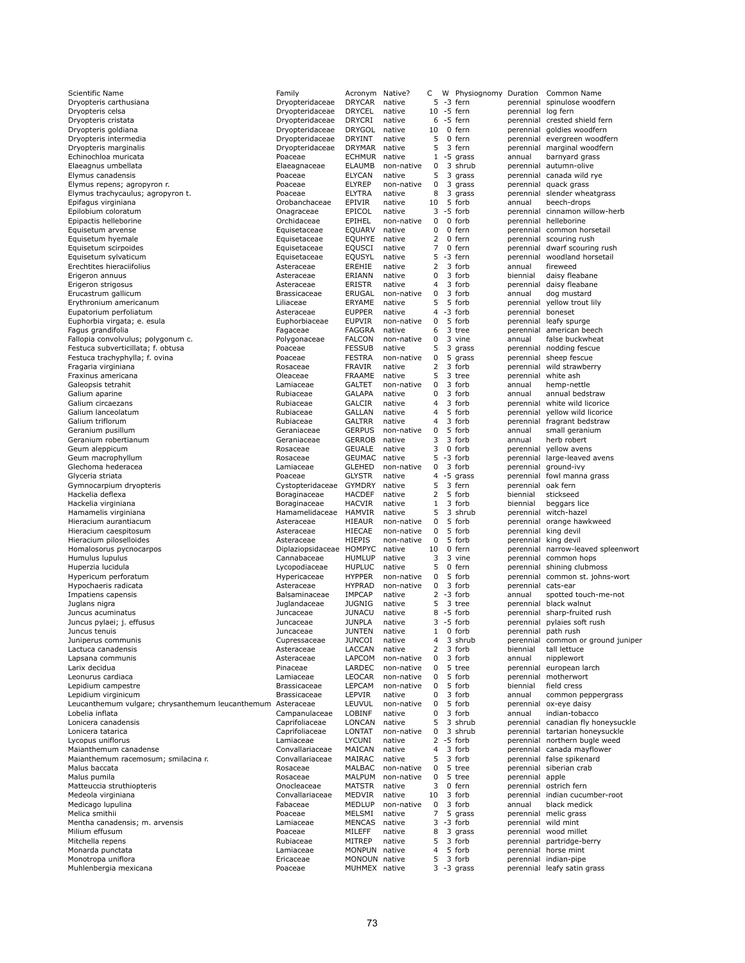| Scientific Name                                             | Family                     | Acronym                        | Native?              | С                   | w | Physiognomy      | Duration            | Common Name                                   |
|-------------------------------------------------------------|----------------------------|--------------------------------|----------------------|---------------------|---|------------------|---------------------|-----------------------------------------------|
| Dryopteris carthusiana                                      | Dryopteridaceae            | <b>DRYCAR</b>                  | native               | 5                   |   | -3 fern          |                     | perennial spinulose woodfern                  |
| Dryopteris celsa                                            | Dryopteridaceae            | <b>DRYCEL</b>                  | native               |                     |   | 10 -5 fern       | perennial           | log fern                                      |
| Dryopteris cristata                                         | Dryopteridaceae            | <b>DRYCRI</b>                  | native               | 6                   |   | -5 fern          |                     | perennial crested shield fern                 |
| Dryopteris goldiana                                         | Dryopteridaceae            | <b>DRYGOL</b>                  | native               | 10                  |   | 0 fern           |                     | perennial goldies woodfern                    |
| Dryopteris intermedia                                       | Dryopteridaceae            | DRYINT                         | native               | 5                   |   | 0 fern           |                     | perennial evergreen woodfern                  |
| Dryopteris marginalis                                       | Dryopteridaceae            | <b>DRYMAR</b>                  | native               | 5                   |   | 3 fern           |                     | perennial marginal woodfern                   |
| Echinochloa muricata                                        | Poaceae                    | <b>ECHMUR</b>                  | native               | $\mathbf{1}$        |   | -5 grass         | annual              | barnyard grass                                |
| Elaeagnus umbellata                                         | Elaeagnaceae               | <b>ELAUMB</b>                  | non-native           | 0                   |   | 3 shrub          |                     | perennial autumn-olive                        |
| Elymus canadensis                                           | Poaceae                    | <b>ELYCAN</b>                  | native               | 5                   |   | 3 grass          |                     | perennial canada wild rye                     |
| Elymus repens; agropyron r.                                 | Poaceae                    | <b>ELYREP</b>                  | non-native           | 0                   |   | 3 grass          | perennial           | quack grass                                   |
| Elymus trachycaulus; agropyron t.                           | Poaceae                    | <b>ELYTRA</b>                  | native               | 8                   |   | 3 grass          | perennial           | slender wheatgrass                            |
| Epifagus virginiana                                         | Orobanchaceae              | <b>EPIVIR</b>                  | native               | 10                  |   | 5 forb           | annual              | beech-drops                                   |
| Epilobium coloratum                                         | Onagraceae                 | EPICOL                         | native               | 3                   |   | -5 forb          |                     | perennial cinnamon willow-herb                |
| Epipactis helleborine                                       | Orchidaceae                | EPIHEL                         | non-native           | 0                   |   | 0 forb           |                     | perennial helleborine                         |
| Equisetum arvense                                           | Equisetaceae               | <b>EQUARV</b>                  | native               | 0                   |   | 0 fern           |                     | perennial common horsetail                    |
| Equisetum hyemale                                           | Equisetaceae               | <b>EOUHYE</b>                  | native               | 2                   |   | 0 fern           |                     | perennial scouring rush                       |
| Equisetum scirpoides                                        | Equisetaceae               | <b>EQUSCI</b>                  | native               | $\overline{7}$      |   | 0 fern           |                     | perennial dwarf scouring rush                 |
| Equisetum sylvaticum                                        | Equisetaceae               | EQUSYL                         | native               | 5                   |   | -3 fern          |                     | perennial woodland horsetail                  |
| Erechtites hieraciifolius                                   | Asteraceae                 | EREHIE                         | native               | 2                   |   | 3 forb           | annual              | fireweed                                      |
| Erigeron annuus                                             | Asteraceae                 | ERIANN                         | native               | 0                   |   | 3 forb           | biennial            | daisy fleabane                                |
| Erigeron strigosus                                          | Asteraceae                 | ERISTR                         | native               | 4                   |   | 3 forb           |                     | perennial daisy fleabane                      |
| Erucastrum gallicum                                         | <b>Brassicaceae</b>        | ERUGAL                         | non-native           | 0                   |   | 3 forb           | annual              | dog mustard                                   |
| Erythronium americanum                                      | Liliaceae                  | ERYAME                         | native               | 5                   |   | 5 forb           | perennial           | yellow trout lily                             |
| Eupatorium perfoliatum                                      | Asteraceae                 | <b>EUPPER</b>                  | native               | $\overline{4}$      |   | -3 forb          | perennial boneset   |                                               |
| Euphorbia virgata; e. esula                                 | Euphorbiaceae              | <b>EUPVIR</b>                  | non-native           | 0                   |   | 5 forb           |                     | perennial leafy spurge                        |
| Fagus grandifolia                                           | Fagaceae                   | <b>FAGGRA</b>                  | native               | 6                   |   | 3 tree           |                     | perennial american beech                      |
| Fallopia convolvulus; polygonum c.                          | Polygonaceae               | <b>FALCON</b>                  | non-native           | 0<br>5              |   | 3 vine           | annual              | false buckwheat                               |
| Festuca subverticillata; f. obtusa                          | Poaceae                    | <b>FESSUB</b>                  | native               |                     | 3 | grass            |                     | perennial nodding fescue                      |
| Festuca trachyphylla; f. ovina                              | Poaceae                    | <b>FESTRA</b>                  | non-native           | 0<br>$\overline{2}$ |   | 5 grass          |                     | perennial sheep fescue                        |
| Fragaria virginiana                                         | Rosaceae                   | <b>FRAVIR</b>                  | native               | 5                   |   | 3 forb           |                     | perennial wild strawberry                     |
| Fraxinus americana                                          | Oleaceae                   | <b>FRAAME</b><br><b>GALTET</b> | native               | $\mathbf 0$         |   | 3 tree<br>3 forb | perennial           | white ash                                     |
| Galeopsis tetrahit                                          | Lamiaceae                  | <b>GALAPA</b>                  | non-native           | $\mathbf 0$         |   | 3 forb           | annual              | hemp-nettle                                   |
| Galium aparine                                              | Rubiaceae                  | <b>GALCIR</b>                  | native               | $\overline{4}$      |   | 3 forb           | annual              | annual bedstraw                               |
| Galium circaezans<br>Galium lanceolatum                     | Rubiaceae                  |                                | native               | $\overline{a}$      |   | 5 forb           |                     | perennial white wild licorice                 |
| Galium triflorum                                            | Rubiaceae                  | GALLAN<br><b>GALTRR</b>        | native               | $\overline{4}$      |   | 3 forb           |                     | perennial yellow wild licorice                |
| Geranium pusillum                                           | Rubiaceae                  | <b>GERPUS</b>                  | native<br>non-native | $\mathbf 0$         |   | 5 forb           |                     | perennial fragrant bedstraw<br>small geranium |
| Geranium robertianum                                        | Geraniaceae<br>Geraniaceae | <b>GERROB</b>                  | native               | 3                   |   | 3 forb           | annual<br>annual    | herb robert                                   |
| Geum aleppicum                                              | Rosaceae                   | <b>GEUALE</b>                  | native               | 3                   |   | 0 forb           | perennial           | yellow avens                                  |
| Geum macrophyllum                                           | Rosaceae                   | <b>GEUMAC</b>                  | native               | 5                   |   | -3 forb          | perennial           | large-leaved avens                            |
| Glechoma hederacea                                          | Lamiaceae                  | <b>GLEHED</b>                  | non-native           | 0                   |   | 3 forb           | perennial           | ground-ivy                                    |
| Glyceria striata                                            | Poaceae                    | <b>GLYSTR</b>                  | native               | $\overline{4}$      |   | -5 grass         |                     | perennial fowl manna grass                    |
| Gymnocarpium dryopteris                                     | Cystopteridaceae           | <b>GYMDRY</b>                  | native               | 5                   |   | 3 fern           | perennial oak fern  |                                               |
| Hackelia deflexa                                            | Boraginaceae               | <b>HACDEF</b>                  | native               | $\overline{2}$      |   | 5 forb           | biennial            | stickseed                                     |
| Hackelia virginiana                                         | Boraginaceae               | <b>HACVIR</b>                  | native               | $\mathbf{1}$        |   | 3 forb           | biennial            | beggars lice                                  |
| Hamamelis virginiana                                        | Hamamelidaceae             | <b>HAMVIR</b>                  | native               | 5                   |   | 3 shrub          |                     | perennial witch-hazel                         |
| Hieracium aurantiacum                                       | Asteraceae                 | <b>HIEAUR</b>                  | non-native           | 0                   |   | 5 forb           |                     | perennial orange hawkweed                     |
| Hieracium caespitosum                                       | Asteraceae                 | HIECAE                         | non-native           | $\mathbf 0$         |   | 5 forb           |                     | perennial king devil                          |
| Hieracium piloselloides                                     | Asteraceae                 | <b>HIEPIS</b>                  | non-native           | 0                   |   | 5 forb           |                     | perennial king devil                          |
| Homalosorus pycnocarpos                                     | Diplaziopsidaceae HOMPYC   |                                | native               | 10                  |   | 0 fern           | perennial           | narrow-leaved spleenwort                      |
| Humulus lupulus                                             | Cannabaceae                | <b>HUMLUP</b>                  | native               | 3                   |   | 3 vine           |                     | perennial common hops                         |
| Huperzia lucidula                                           | Lycopodiaceae              | <b>HUPLUC</b>                  | native               | 5                   |   | 0 fern           |                     | perennial shining clubmoss                    |
| Hypericum perforatum                                        | Hypericaceae               | <b>HYPPER</b>                  | non-native           | 0                   |   | 5 forb           |                     | perennial common st. johns-wort               |
| Hypochaeris radicata                                        | Asteraceae                 | <b>HYPRAD</b>                  | non-native           | 0                   |   | 3 forb           | perennial           | cats-ear                                      |
| Impatiens capensis                                          | Balsaminaceae              | <b>IMPCAP</b>                  | native               | 2                   |   | -3 forb          | annual              | spotted touch-me-not                          |
| Juglans nigra                                               | Juglandaceae               | <b>JUGNIG</b>                  | native               | 5                   |   | 3 tree           |                     | perennial black walnut                        |
| Juncus acuminatus                                           | Juncaceae                  | <b>JUNACU</b>                  | native               | 8                   |   | -5 forb          |                     | perennial sharp-fruited rush                  |
| Juncus pylaei; j. effusus                                   | Juncaceae                  | <b>JUNPLA</b>                  | native               | 3                   |   | -5 forb          |                     | perennial pylaies soft rush                   |
| Juncus tenuis                                               | Juncaceae                  | <b>JUNTEN</b>                  | native               | 1                   |   | 0 forb           |                     | perennial path rush                           |
| Juniperus communis                                          | Cupressaceae               | JUNCOI                         | native               | 4                   |   | 3 shrub          | perennial           | common or ground juniper                      |
| Lactuca canadensis                                          | Asteraceae                 | LACCAN                         | native               | 2                   |   | 3 forb           | biennial            | tall lettuce                                  |
| Lapsana communis                                            | Asteraceae                 | LAPCOM                         | non-native           | 0                   |   | 3 forb           | annual              | nipplewort                                    |
| Larix decidua                                               | Pinaceae                   | LARDEC                         | non-native           | 0                   |   | 5 tree           | perennial           | european larch                                |
| Leonurus cardiaca                                           | Lamiaceae                  | LEOCAR                         | non-native           | 0                   |   | 5 forb           | perennial           | motherwort                                    |
| Lepidium campestre                                          | Brassicaceae               | <b>LEPCAM</b>                  | non-native           | 0                   |   | 5 forb           | biennial            | field cress                                   |
| Lepidium virginicum                                         | Brassicaceae               | <b>LEPVIR</b>                  | native               | 0                   |   | 3 forb           | annual              | common peppergrass                            |
| Leucanthemum vulgare; chrysanthemum leucanthemum Asteraceae |                            | LEUVUL                         | non-native           | 0                   |   | 5 forb           | perennial           | ox-eye daisy                                  |
| Lobelia inflata                                             | Campanulaceae              | LOBINF                         | native               | 0                   |   | 3 forb           | annual              | indian-tobacco                                |
| Lonicera canadensis                                         | Caprifoliaceae             | LONCAN                         | native               | 5                   |   | 3 shrub          |                     | perennial canadian fly honeysuckle            |
| Lonicera tatarica                                           | Caprifoliaceae             | LONTAT                         | non-native           | 0                   |   | 3 shrub          |                     | perennial tartarian honeysuckle               |
| Lycopus uniflorus                                           | Lamiaceae                  | <b>LYCUNI</b>                  | native               |                     |   | $2 - 5$ forb     |                     | perennial northern bugle weed                 |
| Maianthemum canadense                                       | Convallariaceae            | MAICAN                         | native               | $\overline{4}$      |   | 3 forb           |                     | perennial canada mayflower                    |
| Maianthemum racemosum; smilacina r.                         | Convallariaceae            | MAIRAC                         | native               | 5                   |   | 3 forb           |                     | perennial false spikenard                     |
| Malus baccata                                               | Rosaceae                   | MALBAC                         | non-native           | 0                   |   | 5 tree           |                     | perennial siberian crab                       |
| Malus pumila                                                | Rosaceae                   | <b>MALPUM</b>                  | non-native           | 0                   |   | 5 tree           | perennial apple     |                                               |
| Matteuccia struthiopteris                                   | Onocleaceae                | <b>MATSTR</b>                  | native               | 3                   |   | 0 fern           |                     | perennial ostrich fern                        |
| Medeola virginiana                                          | Convallariaceae            | MEDVIR                         | native               | 10                  |   | 3 forb           |                     | perennial indian cucumber-root                |
| Medicago Iupulina                                           | Fabaceae                   | MEDLUP                         | non-native           | 0                   |   | 3 forb           | annual              | black medick                                  |
| Melica smithii                                              | Poaceae                    | MELSMI                         | native               | $\overline{7}$      |   | 5 grass          |                     | perennial melic grass                         |
| Mentha canadensis; m. arvensis                              | Lamiaceae                  | MENCAS                         | native               | 3                   |   | -3 forb          | perennial wild mint |                                               |
| Milium effusum                                              | Poaceae                    | MILEFF                         | native               | 8                   |   | 3 grass          |                     | perennial wood millet                         |
| Mitchella repens                                            | Rubiaceae                  | MITREP                         | native               | 5                   |   | 3 forb           | perennial           | partridge-berry                               |
| Monarda punctata                                            | Lamiaceae                  | MONPUN native                  |                      | 4                   |   | 5 forb           |                     | perennial horse mint                          |
| Monotropa uniflora                                          | Ericaceae                  | MONOUN native                  |                      | 5                   |   | 3 forb           | perennial           | indian-pipe                                   |
| Muhlenbergia mexicana                                       | Poaceae                    | MUHMEX native                  |                      |                     |   | $3 - 3$ grass    |                     | perennial leafy satin grass                   |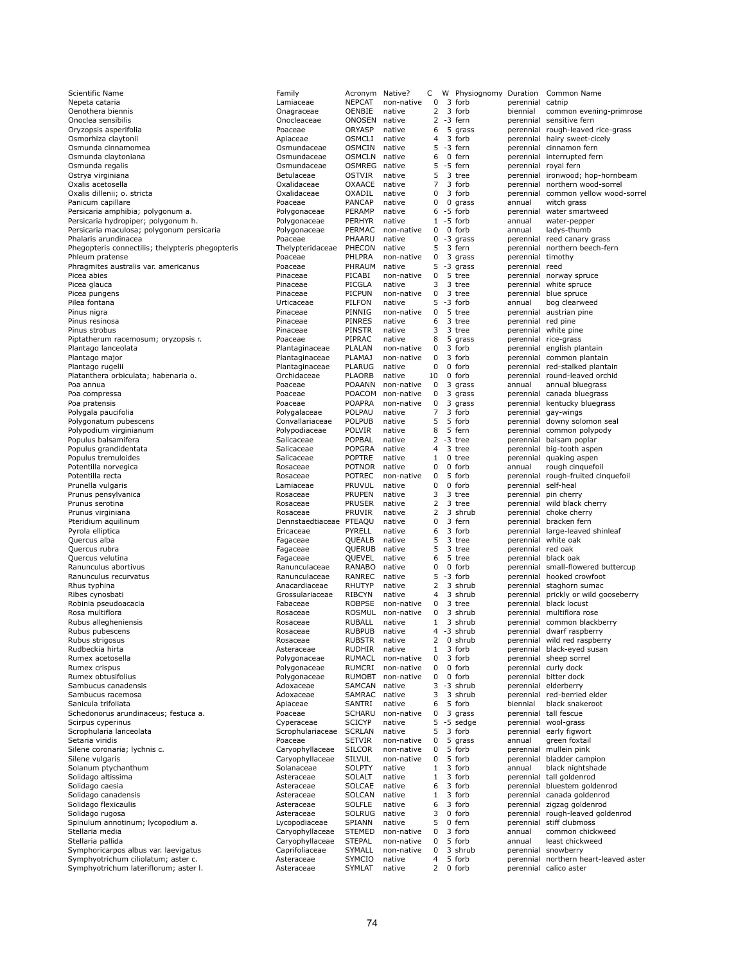| Scientific Name                                           | Family                            | Acronym                 | Native?                  | С            |   | W Physiognomy Duration |                                  | Common Name                               |
|-----------------------------------------------------------|-----------------------------------|-------------------------|--------------------------|--------------|---|------------------------|----------------------------------|-------------------------------------------|
| Nepeta cataria                                            | Lamiaceae                         | <b>NEPCAT</b>           | non-native               | 0            |   | 3 forb                 | perennial                        | catnip                                    |
| Oenothera biennis<br>Onoclea sensibilis                   | Onagraceae<br>Onocleaceae         | OENBIE<br>ONOSEN        | native<br>native         | 2<br>2       |   | 3 forb<br>-3 fern      | biennial                         | common evening-primrose<br>sensitive fern |
| Oryzopsis asperifolia                                     | Poaceae                           | <b>ORYASP</b>           | native                   | 6            | 5 | grass                  | perennial                        | perennial rough-leaved rice-grass         |
| Osmorhiza claytonii                                       | Apiaceae                          | OSMCLI                  | native                   | 4            |   | 3 forb                 |                                  | perennial hairy sweet-cicely              |
| Osmunda cinnamomea                                        | Osmundaceae                       | <b>OSMCIN</b>           | native                   | 5            |   | -3 fern                |                                  | perennial cinnamon fern                   |
| Osmunda claytoniana                                       | Osmundaceae                       | <b>OSMCLN</b>           | native                   | 6            |   | 0 fern                 | perennial                        | interrupted fern                          |
| Osmunda regalis                                           | Osmundaceae                       | <b>OSMREG</b>           | native                   | 5            |   | -5 fern                |                                  | perennial royal fern                      |
| Ostrya virginiana                                         | Betulaceae                        | <b>OSTVIR</b>           | native                   | 5            |   | 3 tree                 |                                  | perennial ironwood; hop-hornbeam          |
| Oxalis acetosella                                         | Oxalidaceae                       | OXAACE                  | native                   | 7            |   | 3 forb                 |                                  | perennial northern wood-sorrel            |
| Oxalis dillenii; o. stricta                               | Oxalidaceae<br>Poaceae            | OXADIL<br><b>PANCAP</b> | native<br>native         | 0<br>0       | 0 | 3 forb                 | perennial                        | common yellow wood-sorrel                 |
| Panicum capillare<br>Persicaria amphibia; polygonum a.    | Polygonaceae                      | PERAMP                  | native                   | 6            |   | grass<br>-5 forb       | annual<br>perennial              | witch grass<br>water smartweed            |
| Persicaria hydropiper; polygonum h.                       | Polygonaceae                      | PERHYR                  | native                   | $\mathbf{1}$ |   | -5 forb                | annual                           | water-pepper                              |
| Persicaria maculosa; polygonum persicaria                 | Polygonaceae                      | PERMAC                  | non-native               | 0            |   | 0 forb                 | annual                           | ladys-thumb                               |
| Phalaris arundinacea                                      | Poaceae                           | PHAARU                  | native                   | 0            |   | -3 grass               |                                  | perennial reed canary grass               |
| Phegopteris connectilis; thelypteris phegopteris          | Thelypteridaceae                  | PHECON                  | native                   | 5            |   | 3 fern                 | perennial                        | northern beech-fern                       |
| Phleum pratense                                           | Poaceae                           | PHLPRA                  | non-native               | 0            |   | 3 grass                | perennial timothy                |                                           |
| Phragmites australis var. americanus                      | Poaceae                           | PHRAUM                  | native                   | 5            |   | -3 grass               | perennial reed                   |                                           |
| Picea abies                                               | Pinaceae                          | PICABI                  | non-native               | 0            |   | 5 tree                 |                                  | perennial norway spruce                   |
| Picea glauca                                              | Pinaceae                          | PICGLA                  | native                   | 3            |   | 3 tree                 |                                  | perennial white spruce                    |
| Picea pungens                                             | Pinaceae                          | PICPUN                  | non-native               | 0<br>5       |   | 3 tree                 |                                  | perennial blue spruce                     |
| Pilea fontana<br>Pinus nigra                              | Urticaceae<br>Pinaceae            | PILFON<br>PINNIG        | native<br>non-native     | 0            |   | -3 forb<br>5 tree      | annual                           | bog clearweed<br>perennial austrian pine  |
| Pinus resinosa                                            | Pinaceae                          | PINRES                  | native                   | 6            |   | 3 tree                 | perennial red pine               |                                           |
| Pinus strobus                                             | Pinaceae                          | <b>PINSTR</b>           | native                   | 3            |   | 3 tree                 |                                  | perennial white pine                      |
| Piptatherum racemosum; oryzopsis r.                       | Poaceae                           | PIPRAC                  | native                   | 8            |   | 5 grass                |                                  | perennial rice-grass                      |
| Plantago lanceolata                                       | Plantaginaceae                    | PLALAN                  | non-native               | 0            |   | 3 forb                 |                                  | perennial english plantain                |
| Plantago major                                            | Plantaginaceae                    | <b>PLAMAJ</b>           | non-native               | 0            |   | 3 forb                 |                                  | perennial common plantain                 |
| Plantago rugelii                                          | Plantaginaceae                    | PLARUG                  | native                   | 0            |   | 0 forb                 |                                  | perennial red-stalked plantain            |
| Platanthera orbiculata; habenaria o.                      | Orchidaceae                       | <b>PLAORB</b>           | native                   | 10           |   | 0 forb                 |                                  | perennial round-leaved orchid             |
| Poa annua                                                 | Poaceae                           | <b>POAANN</b>           | non-native               | 0            |   | 3 grass                | annual                           | annual bluegrass                          |
| Poa compressa                                             | Poaceae                           | POACOM                  | non-native               | 0            |   | 3 grass                |                                  | perennial canada bluegrass                |
| Poa pratensis                                             | Poaceae                           | POAPRA                  | non-native               | 0            |   | 3 grass                |                                  | perennial kentucky bluegrass              |
| Polygala paucifolia                                       | Polygalaceae                      | POLPAU                  | native                   | 7            |   | 3 forb                 |                                  | perennial gay-wings                       |
| Polygonatum pubescens                                     | Convallariaceae                   | <b>POLPUB</b>           | native                   | 5            |   | 5 forb                 |                                  | perennial downy solomon seal              |
| Polypodium virginianum                                    | Polypodiaceae                     | POLVIR                  | native                   | 8            |   | 5 fern                 |                                  | perennial common polypody                 |
| Populus balsamifera                                       | Salicaceae                        | POPBAL                  | native                   | 2            |   | -3 tree                |                                  | perennial balsam poplar                   |
| Populus grandidentata                                     | Salicaceae                        | POPGRA                  | native                   | 4            |   | 3 tree                 |                                  | perennial big-tooth aspen                 |
| Populus tremuloides                                       | Salicaceae                        | <b>POPTRE</b>           | native                   | $\mathbf{1}$ |   | 0 tree                 |                                  | perennial quaking aspen                   |
| Potentilla norvegica                                      | Rosaceae                          | <b>POTNOR</b>           | native                   | 0            |   | 0 forb                 | annual                           | rough cinquefoil                          |
| Potentilla recta                                          | Rosaceae                          | POTREC<br>PRUVUL        | non-native<br>native     | 0<br>0       |   | 5 forb<br>0 forb       |                                  | perennial rough-fruited cinquefoil        |
| Prunella vulgaris<br>Prunus pensylvanica                  | Lamiaceae<br>Rosaceae             | PRUPEN                  | native                   | 3            |   | 3 tree                 | perennial self-heal<br>perennial | pin cherry                                |
| Prunus serotina                                           | Rosaceae                          | PRUSER                  | native                   | 2            |   | 3 tree                 |                                  | perennial wild black cherry               |
|                                                           |                                   |                         |                          |              |   | 3 shrub                |                                  |                                           |
|                                                           |                                   |                         |                          |              |   |                        |                                  |                                           |
| Prunus virginiana                                         | Rosaceae                          | PRUVIR                  | native                   | 2            |   |                        |                                  | perennial choke cherry                    |
| Pteridium aquilinum                                       | Dennstaedtiaceae PTEAQU           |                         | native                   | 0<br>6       |   | 3 fern                 |                                  | perennial bracken fern                    |
| Pyrola elliptica                                          | Ericaceae                         | PYRELL                  | native<br>native         | 5            |   | 3 forb<br>3 tree       |                                  | perennial large-leaved shinleaf           |
| Quercus alba<br>Quercus rubra                             | Fagaceae<br>Fagaceae              | QUEALB<br>QUERUB        | native                   | 5            |   | 3 tree                 | perennial red oak                | perennial white oak                       |
| Quercus velutina                                          | Fagaceae                          | QUEVEL                  | native                   | 6            |   | 5 tree                 |                                  | perennial black oak                       |
| Ranunculus abortivus                                      | Ranunculaceae                     | RANABO                  | native                   | 0            |   | 0 forb                 |                                  | perennial small-flowered buttercup        |
| Ranunculus recurvatus                                     | Ranunculaceae                     | RANREC                  | native                   | 5            |   | -3 forb                |                                  | perennial hooked crowfoot                 |
| Rhus typhina                                              | Anacardiaceae                     | RHUTYP                  | native                   | 2            |   | 3 shrub                | perennial                        | staghorn sumac                            |
| Ribes cynosbati                                           | Grossulariaceae                   | RIBCYN                  | native                   | 4            |   | 3 shrub                | perennial                        | prickly or wild gooseberry                |
| Robinia pseudoacacia                                      | Fabaceae                          | <b>ROBPSE</b>           | non-native               | $\Omega$     |   | 3 tree                 |                                  | perennial black locust                    |
| Rosa multiflora                                           | Rosaceae                          | ROSMUL                  | non-native               | 0            |   | 3 shrub                |                                  | perennial multiflora rose                 |
| Rubus allegheniensis                                      | Rosaceae                          | <b>RUBALL</b>           | native                   | $\mathbf{1}$ |   | 3 shrub                |                                  | perennial common blackberry               |
| Rubus pubescens                                           | Rosaceae                          | <b>RUBPUB</b>           | native                   |              |   | 4 -3 shrub             |                                  | perennial dwarf raspberry                 |
| Rubus strigosus                                           | Rosaceae                          | <b>RUBSTR</b>           | native                   | 2            |   | 0 shrub                |                                  | perennial wild red raspberry              |
| Rudbeckia hirta                                           | Asteraceae                        | RUDHIR                  | native                   | 1            |   | 3 forb                 |                                  | perennial black-eyed susan                |
| Rumex acetosella                                          | Polygonaceae                      | <b>RUMACL</b>           | non-native               | 0            |   | 3 forb                 |                                  | perennial sheep sorrel                    |
| Rumex crispus                                             | Polygonaceae                      | RUMCRI                  | non-native               | 0            |   | 0 forb                 |                                  | perennial curly dock                      |
| Rumex obtusifolius                                        | Polygonaceae                      | <b>RUMOBT</b>           | non-native<br>native     | 0            |   | 0 forb                 |                                  | perennial bitter dock                     |
| Sambucus canadensis<br>Sambucus racemosa                  | Adoxaceae<br>Adoxaceae            | SAMCAN                  | native                   | 3<br>3       |   | -3 shrub<br>3 shrub    |                                  | perennial elderberry                      |
| Sanicula trifoliata                                       | Apiaceae                          | SAMRAC<br>SANTRI        | native                   | 6            |   | 5 forb                 | perennial<br>biennial            | red-berried elder<br>black snakeroot      |
| Schedonorus arundinaceus; festuca a.                      | Poaceae                           | SCHARU                  | non-native               | 0            |   | 3 grass                |                                  | perennial tall fescue                     |
| Scirpus cyperinus                                         | Cyperaceae                        | <b>SCICYP</b>           | native                   | 5            |   | -5 sedge               | perennial                        | wool-grass                                |
| Scrophularia lanceolata                                   | Scrophulariaceae                  | <b>SCRLAN</b>           | native                   | 5            |   | 3 forb                 | perennial                        | early figwort                             |
| Setaria viridis                                           | Poaceae                           | <b>SETVIR</b>           | non-native               | 0            |   | 5 grass                | annual                           | green foxtail                             |
| Silene coronaria; lychnis c.                              | Caryophyllaceae                   | <b>SILCOR</b>           | non-native               | 0            |   | 5 forb                 |                                  | perennial mullein pink                    |
| Silene vulgaris                                           | Caryophyllaceae                   | <b>SILVUL</b>           | non-native               | 0            |   | 5 forb                 | perennial                        | bladder campion                           |
| Solanum ptychanthum                                       | Solanaceae                        | SOLPTY                  | native                   | 1            |   | 3 forb                 | annual                           | black nightshade                          |
| Solidago altissima                                        | Asteraceae                        | SOLALT                  | native                   | 1            |   | 3 forb                 | perennial                        | tall goldenrod                            |
| Solidago caesia                                           | Asteraceae                        | SOLCAE                  | native                   | 6            |   | 3 forb                 | perennial                        | bluestem goldenrod                        |
| Solidago canadensis                                       | Asteraceae                        | SOLCAN                  | native                   | 1            |   | 3 forb                 |                                  | perennial canada goldenrod                |
| Solidago flexicaulis                                      | Asteraceae                        | SOLFLE                  | native                   | 6            |   | 3 forb                 |                                  | perennial zigzag goldenrod                |
| Solidago rugosa                                           | Asteraceae                        | SOLRUG                  | native                   | 3            |   | 0 forb                 |                                  | perennial rough-leaved goldenrod          |
| Spinulum annotinum; lycopodium a.                         | Lycopodiaceae                     | SPIANN                  | native                   | 5            |   | 0 fern                 |                                  | perennial stiff clubmoss                  |
| Stellaria media                                           | Caryophyllaceae                   | <b>STEMED</b>           | non-native<br>non-native | 0<br>0       |   | 3 forb<br>5 forb       | annual                           | common chickweed<br>least chickweed       |
| Stellaria pallida<br>Symphoricarpos albus var. laevigatus | Caryophyllaceae<br>Caprifoliaceae | <b>STEPAL</b><br>SYMALL | non-native               | 0            |   | 3 shrub                | annual                           | perennial snowberry                       |
| Symphyotrichum ciliolatum; aster c.                       | Asteraceae                        | SYMCIO                  | native                   | 4            |   | 5 forb                 |                                  | perennial northern heart-leaved aster     |
| Symphyotrichum lateriflorum; aster I.                     | Asteraceae                        | SYMLAT                  | native                   | 2            |   | 0 forb                 |                                  | perennial calico aster                    |